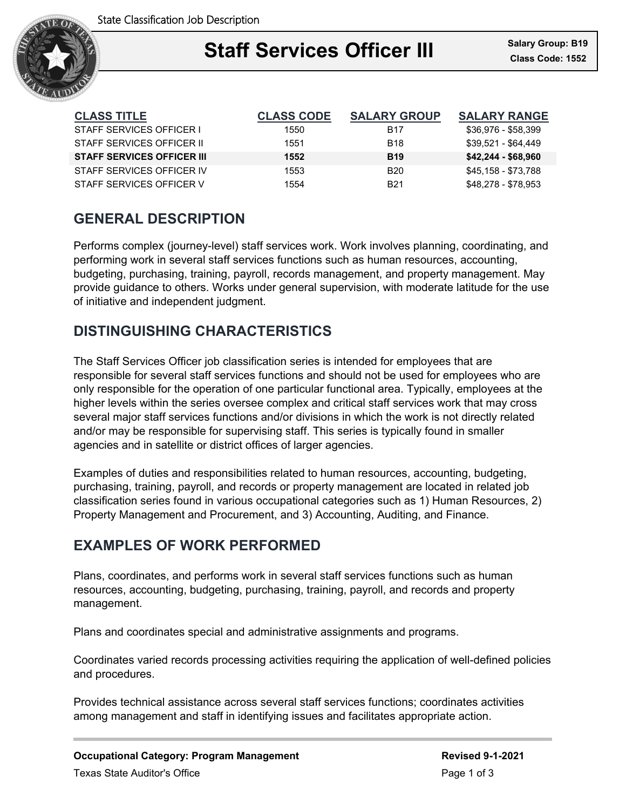

### Ξ **Staff Services Officer III** Salary Group: B13

| <b>CLASS TITLE</b>                | <b>CLASS CODE</b> | <b>SALARY GROUP</b> | <b>SALARY RANGE</b> |
|-----------------------------------|-------------------|---------------------|---------------------|
| STAFF SERVICES OFFICER I          | 1550              | B <sub>17</sub>     | \$36,976 - \$58,399 |
| STAFF SERVICES OFFICER II         | 1551              | <b>B</b> 18         | \$39,521 - \$64,449 |
| <b>STAFF SERVICES OFFICER III</b> | 1552              | <b>B</b> 19         | $$42,244 - $68,960$ |
| STAFF SERVICES OFFICER IV         | 1553              | B <sub>20</sub>     | \$45,158 - \$73,788 |
| STAFF SERVICES OFFICER V          | 1554              | <b>B21</b>          | \$48,278 - \$78,953 |

## **GENERAL DESCRIPTION**

Performs complex (journey-level) staff services work. Work involves planning, coordinating, and performing work in several staff services functions such as human resources, accounting, budgeting, purchasing, training, payroll, records management, and property management. May provide guidance to others. Works under general supervision, with moderate latitude for the use of initiative and independent judgment.

### **DISTINGUISHING CHARACTERISTICS**

The Staff Services Officer job classification series is intended for employees that are responsible for several staff services functions and should not be used for employees who are only responsible for the operation of one particular functional area. Typically, employees at the higher levels within the series oversee complex and critical staff services work that may cross several major staff services functions and/or divisions in which the work is not directly related and/or may be responsible for supervising staff. This series is typically found in smaller agencies and in satellite or district offices of larger agencies.

Examples of duties and responsibilities related to human resources, accounting, budgeting, purchasing, training, payroll, and records or property management are located in related job classification series found in various occupational categories such as 1) Human Resources, 2) Property Management and Procurement, and 3) Accounting, Auditing, and Finance.

### **EXAMPLES OF WORK PERFORMED**

Plans, coordinates, and performs work in several staff services functions such as human resources, accounting, budgeting, purchasing, training, payroll, and records and property management.

Plans and coordinates special and administrative assignments and programs.

Coordinates varied records processing activities requiring the application of well-defined policies and procedures.

Provides technical assistance across several staff services functions; coordinates activities among management and staff in identifying issues and facilitates appropriate action.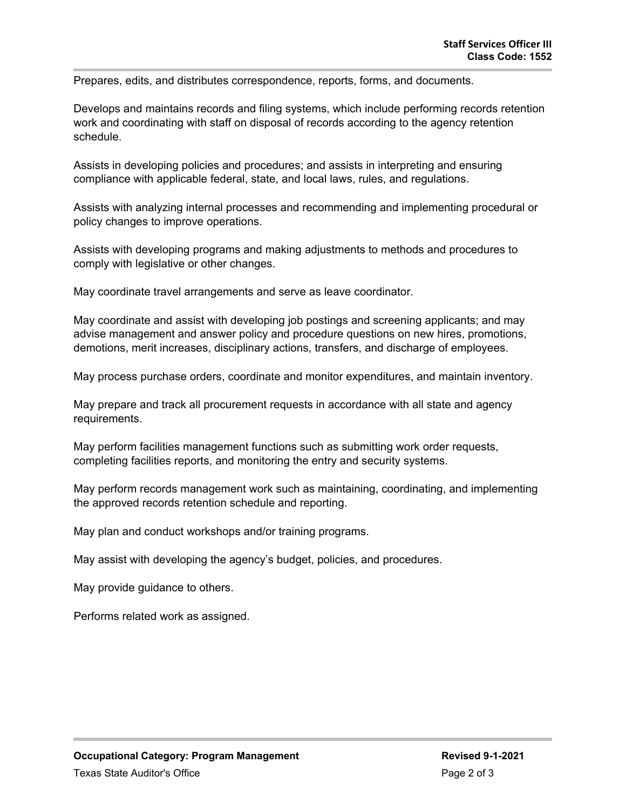Prepares, edits, and distributes correspondence, reports, forms, and documents.

Develops and maintains records and filing systems, which include performing records retention work and coordinating with staff on disposal of records according to the agency retention schedule.

Assists in developing policies and procedures; and assists in interpreting and ensuring compliance with applicable federal, state, and local laws, rules, and regulations.

Assists with analyzing internal processes and recommending and implementing procedural or policy changes to improve operations.

Assists with developing programs and making adjustments to methods and procedures to comply with legislative or other changes.

May coordinate travel arrangements and serve as leave coordinator.

May coordinate and assist with developing job postings and screening applicants; and may advise management and answer policy and procedure questions on new hires, promotions, demotions, merit increases, disciplinary actions, transfers, and discharge of employees.

May process purchase orders, coordinate and monitor expenditures, and maintain inventory.

May prepare and track all procurement requests in accordance with all state and agency requirements.

May perform facilities management functions such as submitting work order requests, completing facilities reports, and monitoring the entry and security systems.

May perform records management work such as maintaining, coordinating, and implementing the approved records retention schedule and reporting.

May plan and conduct workshops and/or training programs.

May assist with developing the agency's budget, policies, and procedures.

May provide guidance to others.

Performs related work as assigned.